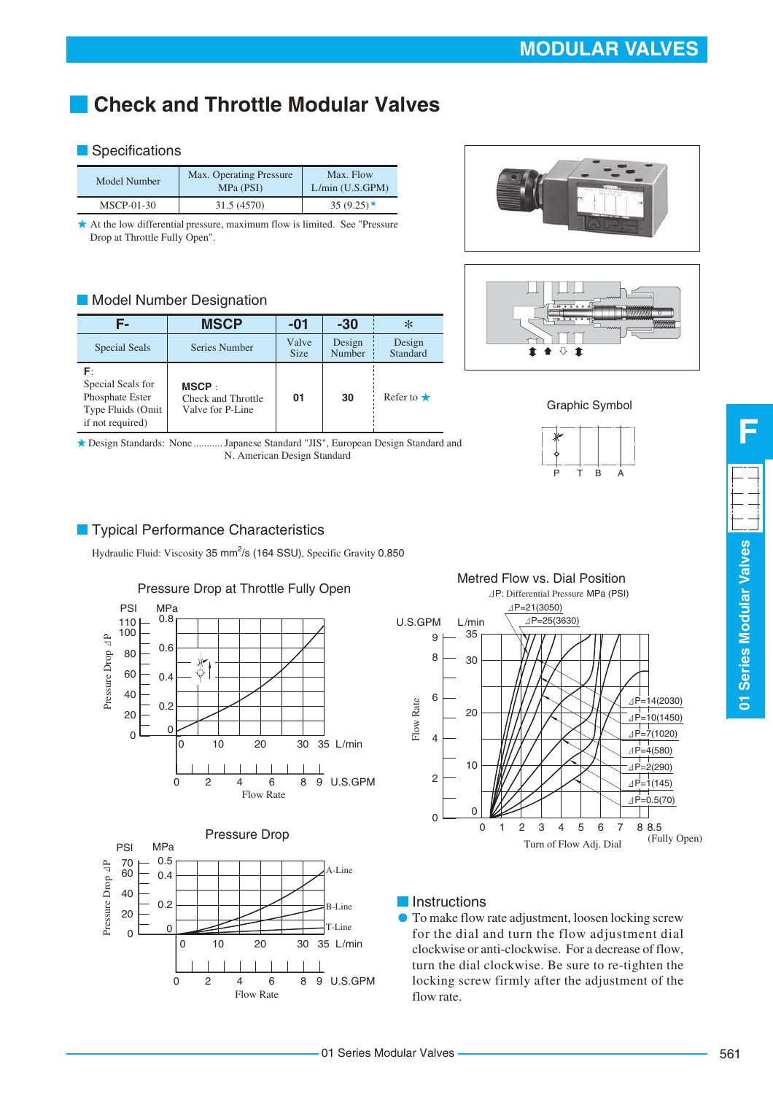# **Check and Throttle Modular Valves**

#### **Specifications**

| Model Number | Max. Operating Pressure<br>MPa (PSI) | Max. Flow<br>$L/min$ (U.S.GPM) |  |
|--------------|--------------------------------------|--------------------------------|--|
| $MSCP-01-30$ | 31.5 (4570)                          | 35 $(9.25)$ *                  |  |

At the low differential pressure, maximum flow is limited. See "Pressure Drop at Throttle Fully Open".

#### **Model Number Designation**

|                                                                                     | <b>MSCP</b>                                     | -01                  | -30              | ∗                  |
|-------------------------------------------------------------------------------------|-------------------------------------------------|----------------------|------------------|--------------------|
| Special Seals                                                                       | Series Number                                   | Valve<br><b>Size</b> | Design<br>Number | Design<br>Standard |
| F۰<br>Special Seals for<br>Phosphate Ester<br>Type Fluids (Omit<br>if not required) | MSCP:<br>Check and Throttle<br>Valve for P-Line | 01                   | 30               | Refer to $\star$   |

Design Standards: None ........... Japanese Standard "JIS", European Design Standard and N. American Design Standard





Graphic Symbol



#### **Typical Performance Characteristics**

Hydraulic Fluid: Viscosity 35 mm<sup>2</sup>/s (164 SSU), Specific Gravity 0.850







Metred Flow vs. Dial Position P: Differential Pressure MPa (PSI) P=21(3050)  $\overline{\Delta P=25(3630)}$ U.S.GPM L/min 35 9 8 30 6 Flow Rate P=14(2030) 20  $\overline{\Delta P}$ =10(1450)  $\overline{\triangleleft P=7(1020)}$ 4  $AP=4(580)$  $AP=2(290)$ 10 2  $\triangle P=1(145)$  $\overline{\Delta P=0.5(70)}$  $\Omega$  $\Box$ 0 0 1 2 3 4 5 6 7 8 8.5 (Fully Open) Turn of Flow Adj. Dial

### **Instructions**

To make flow rate adjustment, loosen locking screw for the dial and turn the flow adjustment dial clockwise or anti-clockwise. For a decrease of flow, turn the dial clockwise. Be sure to re-tighten the locking screw firmly after the adjustment of the flow rate.